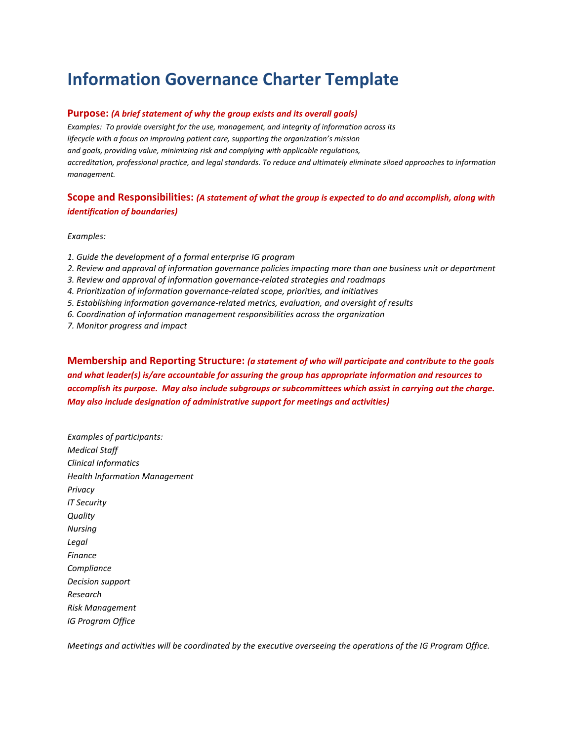# **Information Governance Charter Template**

#### **Purpose:** *(A brief statement of why the group exists and its overall goals)*

*Examples: To provide oversight for the use, management, and integrity of information across its lifecycle with a focus on improving patient care, supporting the organization's mission and goals, providing value, minimizing risk and complying with applicable regulations, accreditation, professional practice, and legal standards. To reduce and ultimately eliminate siloed approaches to information management.*

## **Scope and Responsibilities:** *(A statement of what the group is expected to do and accomplish, along with identification of boundaries)*

*Examples:*

- *1. Guide the development of a formal enterprise IG program*
- *2. Review and approval of information governance policies impacting more than one business unit or department*
- *3. Review and approval of information governance-related strategies and roadmaps*
- *4. Prioritization of information governance-related scope, priorities, and initiatives*
- *5. Establishing information governance-related metrics, evaluation, and oversight of results*
- *6. Coordination of information management responsibilities across the organization*
- *7. Monitor progress and impact*

**Membership and Reporting Structure:** *(a statement of who will participate and contribute to the goals and what leader(s) is/are accountable for assuring the group has appropriate information and resources to accomplish its purpose. May also include subgroups or subcommittees which assist in carrying out the charge. May also include designation of administrative support for meetings and activities)*

*Examples of participants: Medical Staff Clinical Informatics Health Information Management Privacy IT Security Quality Nursing Legal Finance Compliance Decision support Research Risk Management IG Program Office*

*Meetings and activities will be coordinated by the executive overseeing the operations of the IG Program Office.*